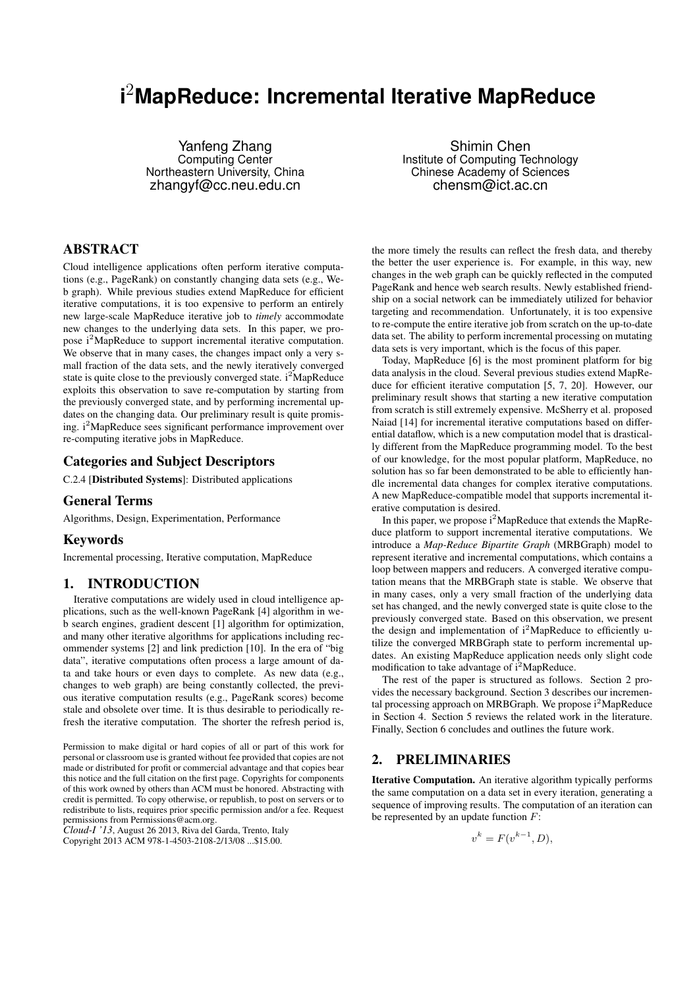# **i** <sup>2</sup>**MapReduce: Incremental Iterative MapReduce**

Yanfeng Zhang Computing Center Northeastern University, China zhangyf@cc.neu.edu.cn

Shimin Chen Institute of Computing Technology Chinese Academy of Sciences chensm@ict.ac.cn

# ABSTRACT

Cloud intelligence applications often perform iterative computations (e.g., PageRank) on constantly changing data sets (e.g., Web graph). While previous studies extend MapReduce for efficient iterative computations, it is too expensive to perform an entirely new large-scale MapReduce iterative job to *timely* accommodate new changes to the underlying data sets. In this paper, we propose i<sup>2</sup>MapReduce to support incremental iterative computation. We observe that in many cases, the changes impact only a very small fraction of the data sets, and the newly iteratively converged state is quite close to the previously converged state.  $i^2$ MapReduce exploits this observation to save re-computation by starting from the previously converged state, and by performing incremental updates on the changing data. Our preliminary result is quite promising. i<sup>2</sup>MapReduce sees significant performance improvement over re-computing iterative jobs in MapReduce.

## Categories and Subject Descriptors

C.2.4 [Distributed Systems]: Distributed applications

#### General Terms

Algorithms, Design, Experimentation, Performance

#### Keywords

Incremental processing, Iterative computation, MapReduce

## 1. INTRODUCTION

Iterative computations are widely used in cloud intelligence applications, such as the well-known PageRank [4] algorithm in web search engines, gradient descent [1] algorithm for optimization, and many other iterative algorithms for applications including recommender systems [2] and link prediction [10]. In the era of "big data", iterative computations often process a large amount of data and take hours or even days to complete. As new data (e.g., changes to web graph) are being constantly collected, the previous iterative computation results (e.g., PageRank scores) become stale and obsolete over time. It is thus desirable to periodically refresh the iterative computation. The shorter the refresh period is,

Permission to make digital or hard copies of all or part of this work for personal or classroom use is granted without fee provided that copies are not made or distributed for profit or commercial advantage and that copies bear this notice and the full citation on the first page. Copyrights for components of this work owned by others than ACM must be honored. Abstracting with credit is permitted. To copy otherwise, or republish, to post on servers or to redistribute to lists, requires prior specific permission and/or a fee. Request permissions from Permissions@acm.org.

*Cloud-I '13*, August 26 2013, Riva del Garda, Trento, Italy Copyright 2013 ACM 978-1-4503-2108-2/13/08 ...\$15.00.

the more timely the results can reflect the fresh data, and thereby the better the user experience is. For example, in this way, new changes in the web graph can be quickly reflected in the computed PageRank and hence web search results. Newly established friendship on a social network can be immediately utilized for behavior targeting and recommendation. Unfortunately, it is too expensive to re-compute the entire iterative job from scratch on the up-to-date data set. The ability to perform incremental processing on mutating data sets is very important, which is the focus of this paper.

Today, MapReduce [6] is the most prominent platform for big data analysis in the cloud. Several previous studies extend MapReduce for efficient iterative computation [5, 7, 20]. However, our preliminary result shows that starting a new iterative computation from scratch is still extremely expensive. McSherry et al. proposed Naiad [14] for incremental iterative computations based on differential dataflow, which is a new computation model that is drastically different from the MapReduce programming model. To the best of our knowledge, for the most popular platform, MapReduce, no solution has so far been demonstrated to be able to efficiently handle incremental data changes for complex iterative computations. A new MapReduce-compatible model that supports incremental iterative computation is desired.

In this paper, we propose  $i^2$ MapReduce that extends the MapReduce platform to support incremental iterative computations. We introduce a *Map-Reduce Bipartite Graph* (MRBGraph) model to represent iterative and incremental computations, which contains a loop between mappers and reducers. A converged iterative computation means that the MRBGraph state is stable. We observe that in many cases, only a very small fraction of the underlying data set has changed, and the newly converged state is quite close to the previously converged state. Based on this observation, we present the design and implementation of  $i^2$ MapReduce to efficiently utilize the converged MRBGraph state to perform incremental updates. An existing MapReduce application needs only slight code modification to take advantage of  $i^2$ MapReduce.

The rest of the paper is structured as follows. Section 2 provides the necessary background. Section 3 describes our incremental processing approach on MRBGraph. We propose  $i^2$ MapReduce in Section 4. Section 5 reviews the related work in the literature. Finally, Section 6 concludes and outlines the future work.

## 2. PRELIMINARIES

Iterative Computation. An iterative algorithm typically performs the same computation on a data set in every iteration, generating a sequence of improving results. The computation of an iteration can be represented by an update function *F*:

$$
v^k = F(v^{k-1}, D),
$$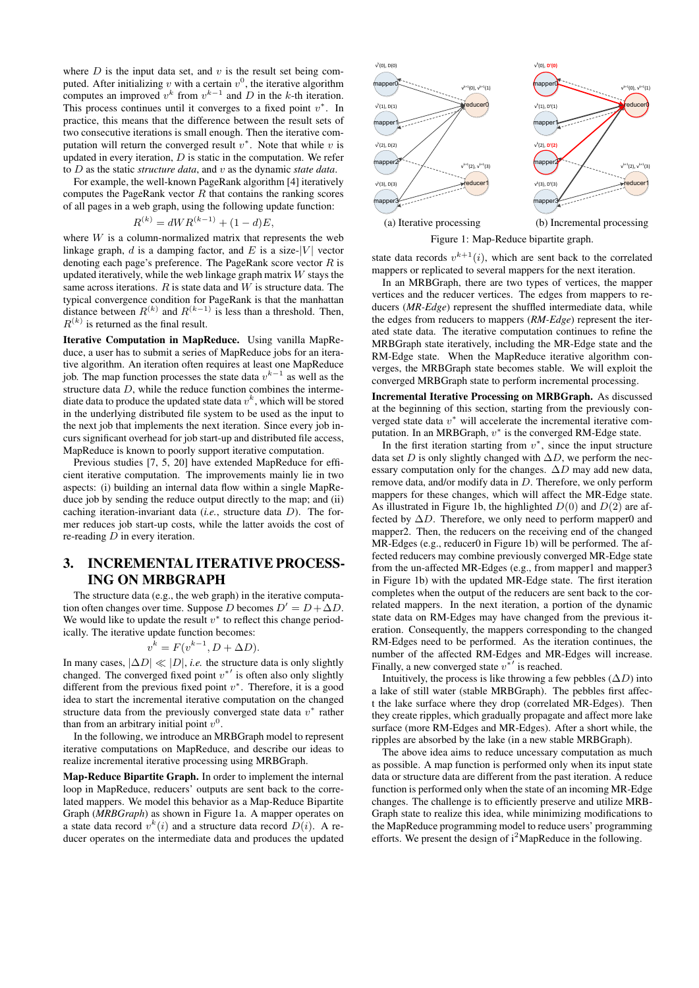where  $D$  is the input data set, and  $v$  is the result set being computed. After initializing  $v$  with a certain  $v^0$ , the iterative algorithm computes an improved  $v^k$  from  $v^{k-1}$  and  $D$  in the *k*-th iteration. This process continues until it converges to a fixed point *v ∗* . In practice, this means that the difference between the result sets of two consecutive iterations is small enough. Then the iterative computation will return the converged result  $v^*$ . Note that while  $v$  is updated in every iteration, *D* is static in the computation. We refer to *D* as the static *structure data*, and *v* as the dynamic *state data*.

For example, the well-known PageRank algorithm [4] iteratively computes the PageRank vector *R* that contains the ranking scores of all pages in a web graph, using the following update function:

$$
R^{(k)} = dWR^{(k-1)} + (1-d)E,
$$

where *W* is a column-normalized matrix that represents the web linkage graph,  $d$  is a damping factor, and  $E$  is a size- $|V|$  vector denoting each page's preference. The PageRank score vector *R* is updated iteratively, while the web linkage graph matrix *W* stays the same across iterations.  $R$  is state data and  $W$  is structure data. The typical convergence condition for PageRank is that the manhattan distance between  $R^{(k)}$  and  $R^{(k-1)}$  is less than a threshold. Then,  $R^{(k)}$  is returned as the final result.

Iterative Computation in MapReduce. Using vanilla MapReduce, a user has to submit a series of MapReduce jobs for an iterative algorithm. An iteration often requires at least one MapReduce job. The map function processes the state data *v k−*1 as well as the structure data *D*, while the reduce function combines the intermediate data to produce the updated state data  $v^k$  , which will be stored in the underlying distributed file system to be used as the input to the next job that implements the next iteration. Since every job incurs significant overhead for job start-up and distributed file access, MapReduce is known to poorly support iterative computation.

Previous studies [7, 5, 20] have extended MapReduce for efficient iterative computation. The improvements mainly lie in two aspects: (i) building an internal data flow within a single MapReduce job by sending the reduce output directly to the map; and (ii) caching iteration-invariant data (*i.e.*, structure data *D*). The former reduces job start-up costs, while the latter avoids the cost of re-reading *D* in every iteration.

# 3. INCREMENTAL ITERATIVE PROCESS-ING ON MRBGRAPH

The structure data (e.g., the web graph) in the iterative computation often changes over time. Suppose *D* becomes  $D' = D + \Delta D$ . We would like to update the result  $v^*$  to reflect this change periodically. The iterative update function becomes:

$$
v^k = F(v^{k-1}, D + \Delta D).
$$

In many cases,  $|\Delta D| \ll |D|$ , *i.e.* the structure data is only slightly changed. The converged fixed point *v ∗′* is often also only slightly different from the previous fixed point *v ∗* . Therefore, it is a good idea to start the incremental iterative computation on the changed structure data from the previously converged state data *v ∗* rather than from an arbitrary initial point  $v^0$ .

In the following, we introduce an MRBGraph model to represent iterative computations on MapReduce, and describe our ideas to realize incremental iterative processing using MRBGraph.

Map-Reduce Bipartite Graph. In order to implement the internal loop in MapReduce, reducers' outputs are sent back to the correlated mappers. We model this behavior as a Map-Reduce Bipartite Graph (*MRBGraph*) as shown in Figure 1a. A mapper operates on a state data record  $v^k(i)$  and a structure data record  $D(i)$ . A reducer operates on the intermediate data and produces the updated



Figure 1: Map-Reduce bipartite graph.

state data records  $v^{k+1}(i)$ , which are sent back to the correlated mappers or replicated to several mappers for the next iteration.

In an MRBGraph, there are two types of vertices, the mapper vertices and the reducer vertices. The edges from mappers to reducers (*MR-Edge*) represent the shuffled intermediate data, while the edges from reducers to mappers (*RM-Edge*) represent the iterated state data. The iterative computation continues to refine the MRBGraph state iteratively, including the MR-Edge state and the RM-Edge state. When the MapReduce iterative algorithm converges, the MRBGraph state becomes stable. We will exploit the converged MRBGraph state to perform incremental processing.

Incremental Iterative Processing on MRBGraph. As discussed at the beginning of this section, starting from the previously converged state data *v <sup>∗</sup>* will accelerate the incremental iterative computation. In an MRBGraph, *v ∗* is the converged RM-Edge state.

In the first iteration starting from  $v^*$ , since the input structure data set *D* is only slightly changed with  $\Delta D$ , we perform the necessary computation only for the changes. ∆*D* may add new data, remove data, and/or modify data in *D*. Therefore, we only perform mappers for these changes, which will affect the MR-Edge state. As illustrated in Figure 1b, the highlighted *D*(0) and *D*(2) are affected by  $\Delta D$ . Therefore, we only need to perform mapper0 and mapper2. Then, the reducers on the receiving end of the changed MR-Edges (e.g., reducer0 in Figure 1b) will be performed. The affected reducers may combine previously converged MR-Edge state from the un-affected MR-Edges (e.g., from mapper1 and mapper3 in Figure 1b) with the updated MR-Edge state. The first iteration completes when the output of the reducers are sent back to the correlated mappers. In the next iteration, a portion of the dynamic state data on RM-Edges may have changed from the previous iteration. Consequently, the mappers corresponding to the changed RM-Edges need to be performed. As the iteration continues, the number of the affected RM-Edges and MR-Edges will increase. Finally, a new converged state *v ∗′* is reached.

Intuitively, the process is like throwing a few pebbles  $(\Delta D)$  into a lake of still water (stable MRBGraph). The pebbles first affect the lake surface where they drop (correlated MR-Edges). Then they create ripples, which gradually propagate and affect more lake surface (more RM-Edges and MR-Edges). After a short while, the ripples are absorbed by the lake (in a new stable MRBGraph).

The above idea aims to reduce uncessary computation as much as possible. A map function is performed only when its input state data or structure data are different from the past iteration. A reduce function is performed only when the state of an incoming MR-Edge changes. The challenge is to efficiently preserve and utilize MRB-Graph state to realize this idea, while minimizing modifications to the MapReduce programming model to reduce users' programming efforts. We present the design of  $i^2$ MapReduce in the following.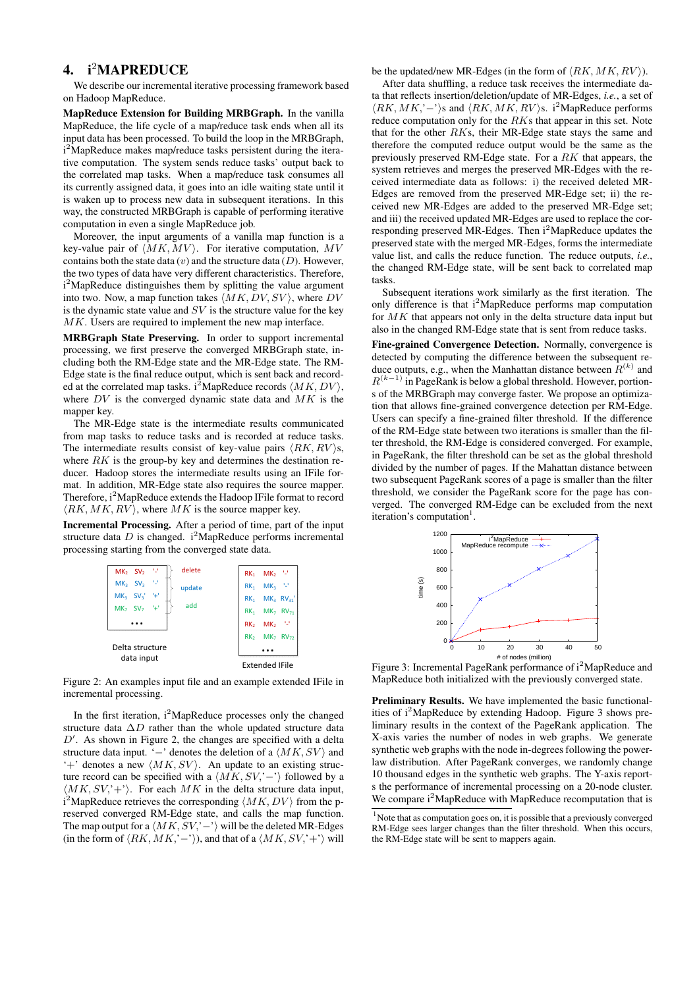# 4. i<sup>2</sup>MAPREDUCE

We describe our incremental iterative processing framework based on Hadoop MapReduce.

MapReduce Extension for Building MRBGraph. In the vanilla MapReduce, the life cycle of a map/reduce task ends when all its input data has been processed. To build the loop in the MRBGraph, i<sup>2</sup>MapReduce makes map/reduce tasks persistent during the iterative computation. The system sends reduce tasks' output back to the correlated map tasks. When a map/reduce task consumes all its currently assigned data, it goes into an idle waiting state until it is waken up to process new data in subsequent iterations. In this way, the constructed MRBGraph is capable of performing iterative computation in even a single MapReduce job.

Moreover, the input arguments of a vanilla map function is a key-value pair of *⟨MK, MV ⟩*. For iterative computation, *MV* contains both the state data (*v*) and the structure data (*D*). However, the two types of data have very different characteristics. Therefore, i<sup>2</sup>MapReduce distinguishes them by splitting the value argument into two. Now, a map function takes *⟨MK, DV, SV ⟩*, where *DV* is the dynamic state value and *SV* is the structure value for the key *MK*. Users are required to implement the new map interface.

MRBGraph State Preserving. In order to support incremental processing, we first preserve the converged MRBGraph state, including both the RM-Edge state and the MR-Edge state. The RM-Edge state is the final reduce output, which is sent back and recorded at the correlated map tasks. i<sup>2</sup>MapReduce records  $\langle MK, DV \rangle$ , where *DV* is the converged dynamic state data and *MK* is the mapper key.

The MR-Edge state is the intermediate results communicated from map tasks to reduce tasks and is recorded at reduce tasks. The intermediate results consist of key-value pairs  $\langle RK, RV \rangle$ *s*, where *RK* is the group-by key and determines the destination reducer. Hadoop stores the intermediate results using an IFile format. In addition, MR-Edge state also requires the source mapper. Therefore, i<sup>2</sup>MapReduce extends the Hadoop IFile format to record *⟨RK, MK, RV ⟩*, where *MK* is the source mapper key.

Incremental Processing. After a period of time, part of the input structure data  $D$  is changed.  $i^2$ MapReduce performs incremental processing starting from the converged state data.



Figure 2: An examples input file and an example extended IFile in incremental processing.

In the first iteration,  $i^2$ MapReduce processes only the changed structure data ∆*D* rather than the whole updated structure data *D ′* . As shown in Figure 2, the changes are specified with a delta structure data input. '*−*' denotes the deletion of a *⟨MK, SV ⟩* and '+' denotes a new *⟨MK, SV ⟩*. An update to an existing structure record can be specified with a *⟨MK, SV,*'*−*'*⟩* followed by a *⟨MK, SV,*'+'*⟩*. For each *MK* in the delta structure data input,  $i^2$ MapReduce retrieves the corresponding  $\langle MK, DV \rangle$  from the preserved converged RM-Edge state, and calls the map function. The map output for a  $\langle MK, SV, '–' \rangle$  will be the deleted MR-Edges (in the form of  $\langle RK, MK, '–' \rangle$ ), and that of a  $\langle MK, SV, '+' \rangle$  will be the updated/new MR-Edges (in the form of  $\langle RK, MK, RV \rangle$ ).

After data shuffling, a reduce task receives the intermediate data that reflects insertion/deletion/update of MR-Edges, *i.e.*, a set of *⟨RK, MK,*'*−*'*⟩*s and *⟨RK, MK, RV ⟩*s. i<sup>2</sup>MapReduce performs reduce computation only for the *RK*s that appear in this set. Note that for the other *RK*s, their MR-Edge state stays the same and therefore the computed reduce output would be the same as the previously preserved RM-Edge state. For a *RK* that appears, the system retrieves and merges the preserved MR-Edges with the received intermediate data as follows: i) the received deleted MR-Edges are removed from the preserved MR-Edge set; ii) the received new MR-Edges are added to the preserved MR-Edge set; and iii) the received updated MR-Edges are used to replace the corresponding preserved MR-Edges. Then  $i^2$ MapReduce updates the preserved state with the merged MR-Edges, forms the intermediate value list, and calls the reduce function. The reduce outputs, *i.e.*, the changed RM-Edge state, will be sent back to correlated map tasks.

Subsequent iterations work similarly as the first iteration. The only difference is that  $i^2$ MapReduce performs map computation for *MK* that appears not only in the delta structure data input but also in the changed RM-Edge state that is sent from reduce tasks.

Fine-grained Convergence Detection. Normally, convergence is detected by computing the difference between the subsequent reduce outputs, e.g., when the Manhattan distance between  $R^{(k)}$  and *R* (*k−*1) in PageRank is below a global threshold. However, portions of the MRBGraph may converge faster. We propose an optimization that allows fine-grained convergence detection per RM-Edge. Users can specify a fine-grained filter threshold. If the difference of the RM-Edge state between two iterations is smaller than the filter threshold, the RM-Edge is considered converged. For example, in PageRank, the filter threshold can be set as the global threshold divided by the number of pages. If the Mahattan distance between two subsequent PageRank scores of a page is smaller than the filter threshold, we consider the PageRank score for the page has converged. The converged RM-Edge can be excluded from the next iteration's computation<sup>1</sup>.



Figure 3: Incremental PageRank performance of i<sup>2</sup>MapReduce and MapReduce both initialized with the previously converged state.

Preliminary Results. We have implemented the basic functionalities of  $i^2$ MapReduce by extending Hadoop. Figure 3 shows preliminary results in the context of the PageRank application. The X-axis varies the number of nodes in web graphs. We generate synthetic web graphs with the node in-degrees following the powerlaw distribution. After PageRank converges, we randomly change 10 thousand edges in the synthetic web graphs. The Y-axis reports the performance of incremental processing on a 20-node cluster. We compare i<sup>2</sup>MapReduce with MapReduce recomputation that is

<sup>&</sup>lt;sup>1</sup>Note that as computation goes on, it is possible that a previously converged RM-Edge sees larger changes than the filter threshold. When this occurs, the RM-Edge state will be sent to mappers again.